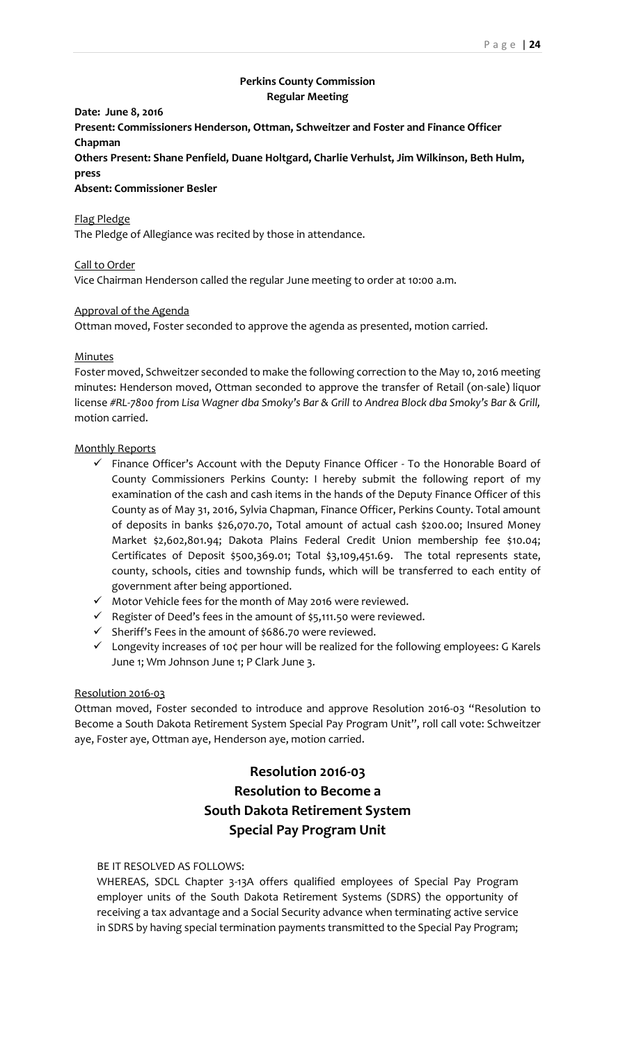# **Perkins County Commission Regular Meeting**

# **Date: June 8, 2016**

**Present: Commissioners Henderson, Ottman, Schweitzer and Foster and Finance Officer Chapman**

**Others Present: Shane Penfield, Duane Holtgard, Charlie Verhulst, Jim Wilkinson, Beth Hulm, press**

**Absent: Commissioner Besler**

## Flag Pledge

The Pledge of Allegiance was recited by those in attendance.

## Call to Order

Vice Chairman Henderson called the regular June meeting to order at 10:00 a.m.

#### Approval of the Agenda

Ottman moved, Foster seconded to approve the agenda as presented, motion carried.

#### Minutes

Foster moved, Schweitzer seconded to make the following correction to the May 10, 2016 meeting minutes: Henderson moved, Ottman seconded to approve the transfer of Retail (on-sale) liquor license *#RL-7800 from Lisa Wagner dba Smoky's Bar & Grill to Andrea Block dba Smoky's Bar & Grill,* motion carried.

#### Monthly Reports

- $\checkmark$  Finance Officer's Account with the Deputy Finance Officer To the Honorable Board of County Commissioners Perkins County: I hereby submit the following report of my examination of the cash and cash items in the hands of the Deputy Finance Officer of this County as of May 31, 2016, Sylvia Chapman, Finance Officer, Perkins County. Total amount of deposits in banks \$26,070.70, Total amount of actual cash \$200.00; Insured Money Market \$2,602,801.94; Dakota Plains Federal Credit Union membership fee \$10.04; Certificates of Deposit \$500,369.01; Total \$3,109,451.69. The total represents state, county, schools, cities and township funds, which will be transferred to each entity of government after being apportioned.
- $\checkmark$  Motor Vehicle fees for the month of May 2016 were reviewed.
- $\checkmark$  Register of Deed's fees in the amount of \$5,111.50 were reviewed.
- $\checkmark$  Sheriff's Fees in the amount of \$686.70 were reviewed.
- $\checkmark$  Longevity increases of 10 $\zeta$  per hour will be realized for the following employees: G Karels June 1; Wm Johnson June 1; P Clark June 3.

#### Resolution 2016-03

Ottman moved, Foster seconded to introduce and approve Resolution 2016-03 "Resolution to Become a South Dakota Retirement System Special Pay Program Unit", roll call vote: Schweitzer aye, Foster aye, Ottman aye, Henderson aye, motion carried.

# **Resolution 2016-03 Resolution to Become a South Dakota Retirement System Special Pay Program Unit**

## BE IT RESOLVED AS FOLLOWS:

WHEREAS, SDCL Chapter 3-13A offers qualified employees of Special Pay Program employer units of the South Dakota Retirement Systems (SDRS) the opportunity of receiving a tax advantage and a Social Security advance when terminating active service in SDRS by having special termination payments transmitted to the Special Pay Program;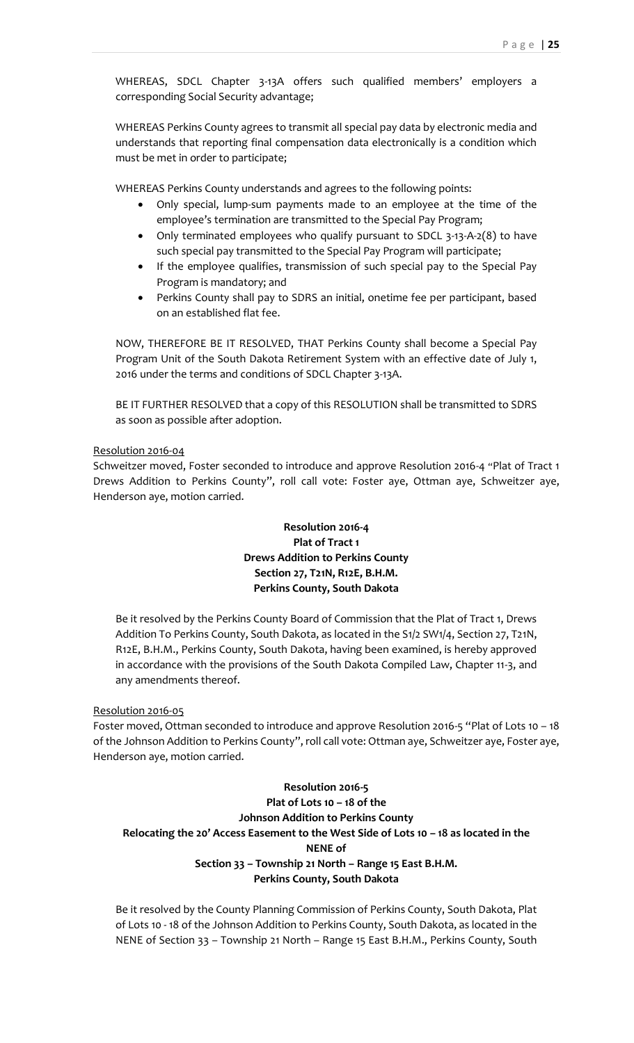WHEREAS, SDCL Chapter 3-13A offers such qualified members' employers a corresponding Social Security advantage;

WHEREAS Perkins County agrees to transmit all special pay data by electronic media and understands that reporting final compensation data electronically is a condition which must be met in order to participate;

WHEREAS Perkins County understands and agrees to the following points:

- Only special, lump-sum payments made to an employee at the time of the employee's termination are transmitted to the Special Pay Program;
- Only terminated employees who qualify pursuant to SDCL 3-13-A-2(8) to have such special pay transmitted to the Special Pay Program will participate;
- If the employee qualifies, transmission of such special pay to the Special Pay Program is mandatory; and
- Perkins County shall pay to SDRS an initial, onetime fee per participant, based on an established flat fee.

NOW, THEREFORE BE IT RESOLVED, THAT Perkins County shall become a Special Pay Program Unit of the South Dakota Retirement System with an effective date of July 1, 2016 under the terms and conditions of SDCL Chapter 3-13A.

BE IT FURTHER RESOLVED that a copy of this RESOLUTION shall be transmitted to SDRS as soon as possible after adoption.

## Resolution 2016-04

Schweitzer moved, Foster seconded to introduce and approve Resolution 2016-4 "Plat of Tract 1 Drews Addition to Perkins County", roll call vote: Foster aye, Ottman aye, Schweitzer aye, Henderson aye, motion carried.

# **Resolution 2016-4 Plat of Tract 1 Drews Addition to Perkins County Section 27, T21N, R12E, B.H.M. Perkins County, South Dakota**

Be it resolved by the Perkins County Board of Commission that the Plat of Tract 1, Drews Addition To Perkins County, South Dakota, as located in the S1/2 SW1/4, Section 27, T21N, R12E, B.H.M., Perkins County, South Dakota, having been examined, is hereby approved in accordance with the provisions of the South Dakota Compiled Law, Chapter 11-3, and any amendments thereof.

## Resolution 2016-05

Foster moved, Ottman seconded to introduce and approve Resolution 2016-5 "Plat of Lots 10 – 18 of the Johnson Addition to Perkins County", roll call vote: Ottman aye, Schweitzer aye, Foster aye, Henderson aye, motion carried.

**Resolution 2016-5 Plat of Lots 10 – 18 of the Johnson Addition to Perkins County Relocating the 20' Access Easement to the West Side of Lots 10 – 18 as located in the NENE of Section 33 – Township 21 North – Range 15 East B.H.M. Perkins County, South Dakota**

Be it resolved by the County Planning Commission of Perkins County, South Dakota, Plat of Lots 10 - 18 of the Johnson Addition to Perkins County, South Dakota, as located in the NENE of Section 33 – Township 21 North – Range 15 East B.H.M., Perkins County, South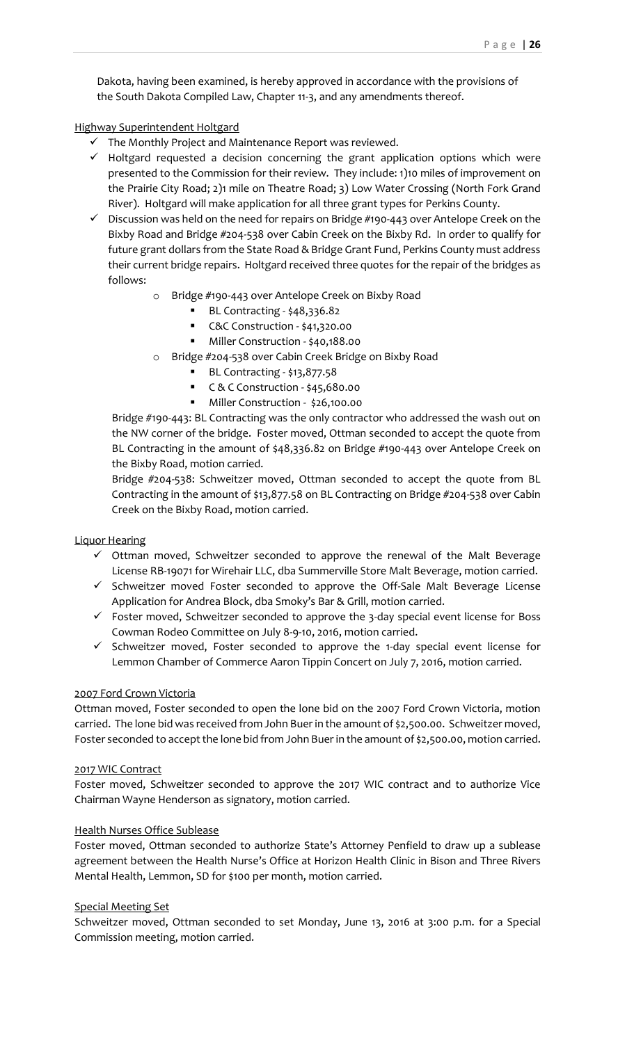Dakota, having been examined, is hereby approved in accordance with the provisions of the South Dakota Compiled Law, Chapter 11-3, and any amendments thereof.

## Highway Superintendent Holtgard

- $\checkmark$  The Monthly Project and Maintenance Report was reviewed.
- $\checkmark$  Holtgard requested a decision concerning the grant application options which were presented to the Commission for their review. They include: 1)10 miles of improvement on the Prairie City Road; 2)1 mile on Theatre Road; 3) Low Water Crossing (North Fork Grand River). Holtgard will make application for all three grant types for Perkins County.
- $\checkmark$  Discussion was held on the need for repairs on Bridge #190-443 over Antelope Creek on the Bixby Road and Bridge #204-538 over Cabin Creek on the Bixby Rd. In order to qualify for future grant dollars from the State Road & Bridge Grant Fund, Perkins County must address their current bridge repairs. Holtgard received three quotes for the repair of the bridges as follows:
	- o Bridge #190-443 over Antelope Creek on Bixby Road
		- BL Contracting \$48,336.82
		- C&C Construction \$41,320.00
		- Miller Construction \$40,188.00
	- o Bridge #204-538 over Cabin Creek Bridge on Bixby Road
		- **BL Contracting \$13,877.58**
		- C & C Construction \$45,680.00
		- **Miller Construction \$26,100.00**

Bridge #190-443: BL Contracting was the only contractor who addressed the wash out on the NW corner of the bridge. Foster moved, Ottman seconded to accept the quote from BL Contracting in the amount of \$48,336.82 on Bridge #190-443 over Antelope Creek on the Bixby Road, motion carried.

Bridge #204-538: Schweitzer moved, Ottman seconded to accept the quote from BL Contracting in the amount of \$13,877.58 on BL Contracting on Bridge #204-538 over Cabin Creek on the Bixby Road, motion carried.

Liquor Hearing

- $\checkmark$  Ottman moved, Schweitzer seconded to approve the renewal of the Malt Beverage License RB-19071 for Wirehair LLC, dba Summerville Store Malt Beverage, motion carried.
- $\checkmark$  Schweitzer moved Foster seconded to approve the Off-Sale Malt Beverage License Application for Andrea Block, dba Smoky's Bar & Grill, motion carried.
- $\checkmark$  Foster moved, Schweitzer seconded to approve the 3-day special event license for Boss Cowman Rodeo Committee on July 8-9-10, 2016, motion carried.
- $\checkmark$  Schweitzer moved, Foster seconded to approve the 1-day special event license for Lemmon Chamber of Commerce Aaron Tippin Concert on July 7, 2016, motion carried.

#### 2007 Ford Crown Victoria

Ottman moved, Foster seconded to open the lone bid on the 2007 Ford Crown Victoria, motion carried. The lone bid was received from John Buer in the amount of \$2,500.00. Schweitzer moved, Foster seconded to accept the lone bid from John Buer in the amount of \$2,500.00, motion carried.

# 2017 WIC Contract

Foster moved, Schweitzer seconded to approve the 2017 WIC contract and to authorize Vice Chairman Wayne Henderson as signatory, motion carried.

#### Health Nurses Office Sublease

Foster moved, Ottman seconded to authorize State's Attorney Penfield to draw up a sublease agreement between the Health Nurse's Office at Horizon Health Clinic in Bison and Three Rivers Mental Health, Lemmon, SD for \$100 per month, motion carried.

#### Special Meeting Set

Schweitzer moved, Ottman seconded to set Monday, June 13, 2016 at 3:00 p.m. for a Special Commission meeting, motion carried.